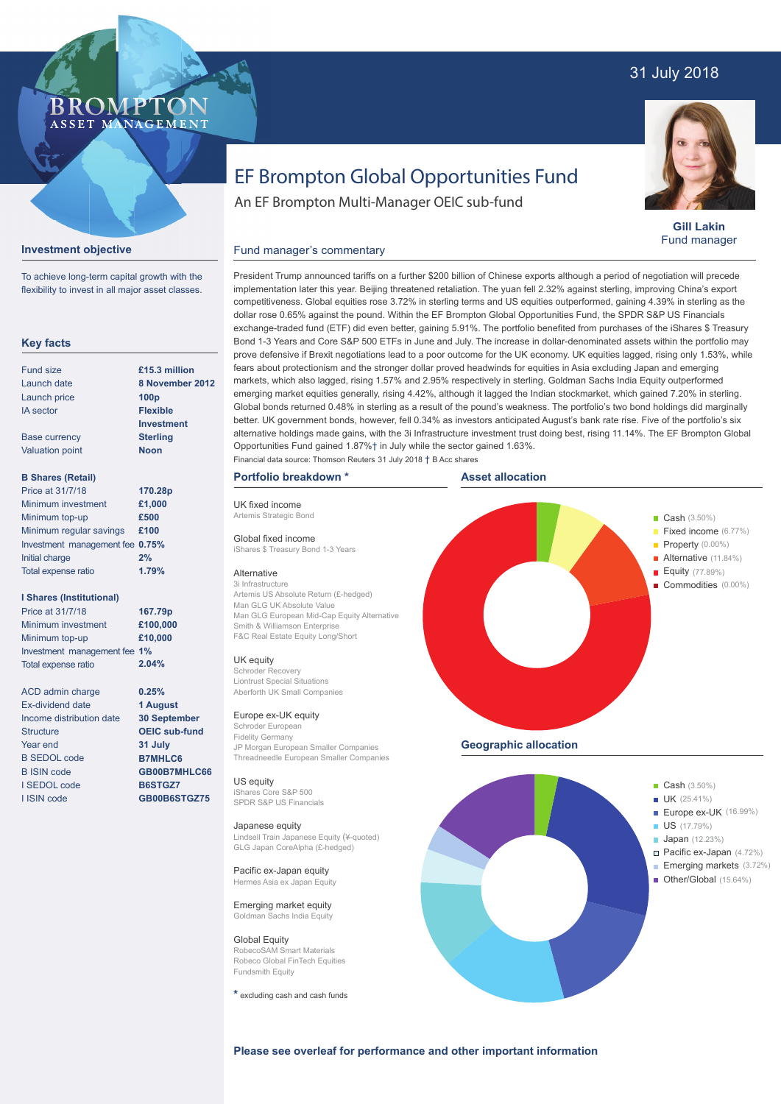## 31 July 2018



**Gill Lakin** Fund manager

# EF Brompton Global Opportunities Fund

An EF Brompton Multi-Manager OEIC sub-fund

## **Investment objective**

BROMP

ASSET MANAGEMENT

To achieve long-term capital growth with the flexibility to invest in all major asset classes.

## **Key facts**

| Fund size              | £15.3 million     |
|------------------------|-------------------|
| Launch date            | 8 November 20     |
| Launch price           | 100 <sub>p</sub>  |
| <b>IA</b> sector       | <b>Flexible</b>   |
|                        | <b>Investment</b> |
| <b>Base currency</b>   | <b>Sterling</b>   |
| <b>Valuation point</b> | <b>Noon</b>       |
|                        |                   |

## **B Shares (Retail)**

| Price at 31/7/18                | 170.28p |
|---------------------------------|---------|
| Minimum investment              | £1,000  |
| Minimum top-up                  | £500    |
| Minimum regular savings         | £100    |
| Investment management fee 0.75% |         |
| Initial charge                  | 2%      |
| Total expense ratio             | 1.79%   |

### **I Shares (Institutional)**

| Price at 31/7/18             | 167.79p  |
|------------------------------|----------|
| Minimum investment           | £100,000 |
| Minimum top-up               | £10,000  |
| Investment management fee 1% |          |
| <b>Total expense ratio</b>   | 2.04%    |

**0.25% 1 August 30 September OEIC sub-fund 31 July B7MHLC6 GB00B7MHLC66 B6STGZ7 GB00B6STGZ75**

ACD admin charge Ex-dividend date Income distribution date **Structure** Year end B SEDOL code B ISIN code I SEDOL code I ISIN code

prove defensive if Brexit negotiations lead to a poor outcome for the UK economy. UK equities lagged, rising only 1.53%, while fears about protectionism and the stronger dollar proved headwinds for equities in Asia excluding Japan and emerging markets, which also lagged, rising 1.57% and 2.95% respectively in sterling. Goldman Sachs India Equity outperformed **8 November 2012**

President Trump announced tariffs on a further \$200 billion of Chinese exports although a period of negotiation will precede implementation later this year. Beijing threatened retaliation. The yuan fell 2.32% against sterling, improving China's export competitiveness. Global equities rose 3.72% in sterling terms and US equities outperformed, gaining 4.39% in sterling as the dollar rose 0.65% against the pound. Within the EF Brompton Global Opportunities Fund, the SPDR S&P US Financials exchange-traded fund (ETF) did even better, gaining 5.91%. The portfolio benefited from purchases of the iShares \$ Treasury Bond 1-3 Years and Core S&P 500 ETFs in June and July. The increase in dollar-denominated assets within the portfolio may

## Fund manager's commentary

UK fixed income Artemis Strategic Bond Global fixed income

Alternative 3i Infrastructure

UK equity Schroder Recovery

Schroder Europea Fidelity Germany

**Japanese equity**<br>Lindsell Train Japan

Global Equity

Fundsmith Equity

US equity iShares Core S&P 500



**Please see overleaf for performance and other important information**